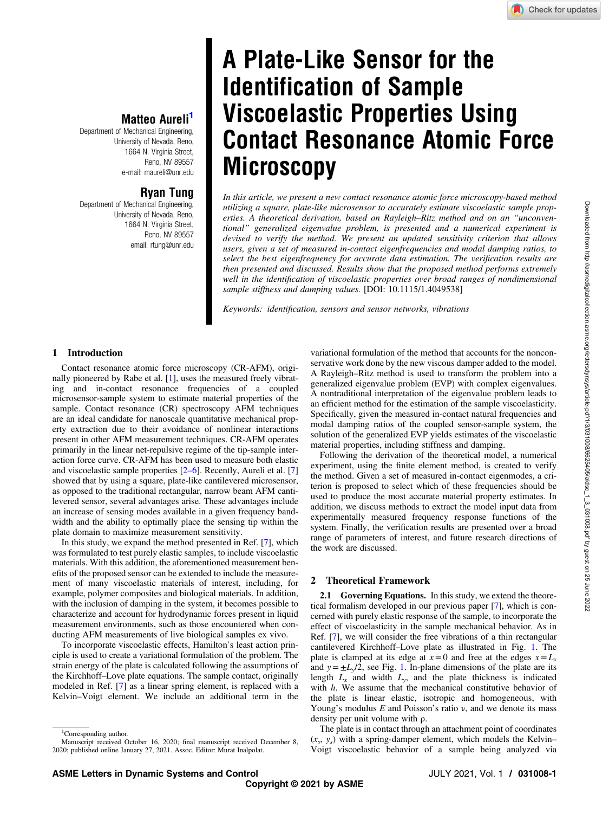# A Plate-Like Sensor for the Identification of Sample Viscoelastic Properties Using Contact Resonance Atomic Force **Microscopy**

In this article, we present a new contact resonance atomic force microscopy-based method utilizing a square, plate-like microsensor to accurately estimate viscoelastic sample properties. A theoretical derivation, based on Rayleigh–Ritz method and on an "unconventional" generalized eigenvalue problem, is presented and a numerical experiment is devised to verify the method. We present an updated sensitivity criterion that allows users, given a set of measured in-contact eigenfrequencies and modal damping ratios, to select the best eigenfrequency for accurate data estimation. The verification results are then presented and discussed. Results show that the proposed method performs extremely well in the identification of viscoelastic properties over broad ranges of nondimensional sample stiffness and damping values. [DOI: 10.1115/1.4049538]

Keywords: identification, sensors and sensor networks, vibrations

## 1 Introduction

Contact resonance atomic force microscopy (CR-AFM), originally pioneered by Rabe et al. [\[1\]](#page-6-0), uses the measured freely vibrating and in-contact resonance frequencies of a coupled microsensor-sample system to estimate material properties of the sample. Contact resonance (CR) spectroscopy AFM techniques are an ideal candidate for nanoscale quantitative mechanical property extraction due to their avoidance of nonlinear interactions present in other AFM measurement techniques. CR-AFM operates primarily in the linear net-repulsive regime of the tip-sample interaction force curve. CR-AFM has been used to measure both elastic and viscoelastic sample properties [2–6]. Recently, Aureli et al. [[7](#page-6-0)] showed that by using a square, plate-like cantilevered microsensor, as opposed to the traditional rectangular, narrow beam AFM cantilevered sensor, several advantages arise. These advantages include an increase of sensing modes available in a given frequency bandwidth and the ability to optimally place the sensing tip within the plate domain to maximize measurement sensitivity.

Matteo Aureli<sup>1</sup>

Ryan Tung

<span id="page-0-0"></span>Department of Mechanical Engineering, University of Nevada, Reno, 1664 N. Virginia Street, Reno, NV 89557 e-mail: [maureli@unr.edu](mailto:maureli@unr.edu)

Department of Mechanical Engineering, University of Nevada, Reno, 1664 N. Virginia Street, Reno, NV 89557 email: [rtung@unr.edu](mailto:rtung@unr.edu)

In this study, we expand the method presented in Ref. [\[7\]](#page-6-0), which was formulated to test purely elastic samples, to include viscoelastic materials. With this addition, the aforementioned measurement benefits of the proposed sensor can be extended to include the measurement of many viscoelastic materials of interest, including, for example, polymer composites and biological materials. In addition, with the inclusion of damping in the system, it becomes possible to characterize and account for hydrodynamic forces present in liquid measurement environments, such as those encountered when conducting AFM measurements of live biological samples ex vivo.

To incorporate viscoelastic effects, Hamilton's least action principle is used to create a variational formulation of the problem. The strain energy of the plate is calculated following the assumptions of the Kirchhoff–Love plate equations. The sample contact, originally modeled in Ref. [[7](#page-6-0)] as a linear spring element, is replaced with a Kelvin–Voigt element. We include an additional term in the

<sup>1</sup>Corresponding author.

variational formulation of the method that accounts for the nonconservative work done by the new viscous damper added to the model. A Rayleigh–Ritz method is used to transform the problem into a generalized eigenvalue problem (EVP) with complex eigenvalues. A nontraditional interpretation of the eigenvalue problem leads to an efficient method for the estimation of the sample viscoelasticity. Specifically, given the measured in-contact natural frequencies and modal damping ratios of the coupled sensor-sample system, the solution of the generalized EVP yields estimates of the viscoelastic material properties, including stiffness and damping.

Following the derivation of the theoretical model, a numerical experiment, using the finite element method, is created to verify the method. Given a set of measured in-contact eigenmodes, a criterion is proposed to select which of these frequencies should be used to produce the most accurate material property estimates. In addition, we discuss methods to extract the model input data from experimentally measured frequency response functions of the system. Finally, the verification results are presented over a broad range of parameters of interest, and future research directions of the work are discussed.

### 2 Theoretical Framework

2.1 Governing Equations. In this study, we extend the theoretical formalism developed in our previous paper [[7](#page-6-0)], which is concerned with purely elastic response of the sample, to incorporate the effect of viscoelasticity in the sample mechanical behavior. As in Ref. [[7](#page-6-0)], we will consider the free vibrations of a thin rectangular cantilevered Kirchhoff–Love plate as illustrated in Fig. [1](#page-1-0). The plate is clamped at its edge at  $x=0$  and free at the edges  $x=L_x$ and  $y = \pm L_v/2$ , see Fig. [1](#page-1-0). In-plane dimensions of the plate are its length  $L_x$  and width  $L_y$ , and the plate thickness is indicated with h. We assume that the mechanical constitutive behavior of the plate is linear elastic, isotropic and homogeneous, with Young's modulus  $E$  and Poisson's ratio  $\nu$ , and we denote its mass density per unit volume with ρ.

The plate is in contact through an attachment point of coordinates  $(x<sub>s</sub>, y<sub>s</sub>)$  with a spring-damper element, which models the Kelvin– Voigt viscoelastic behavior of a sample being analyzed via

Manuscript received October 16, 2020; final manuscript received December 8, 2020; published online January 27, 2021. Assoc. Editor: Murat Inalpolat.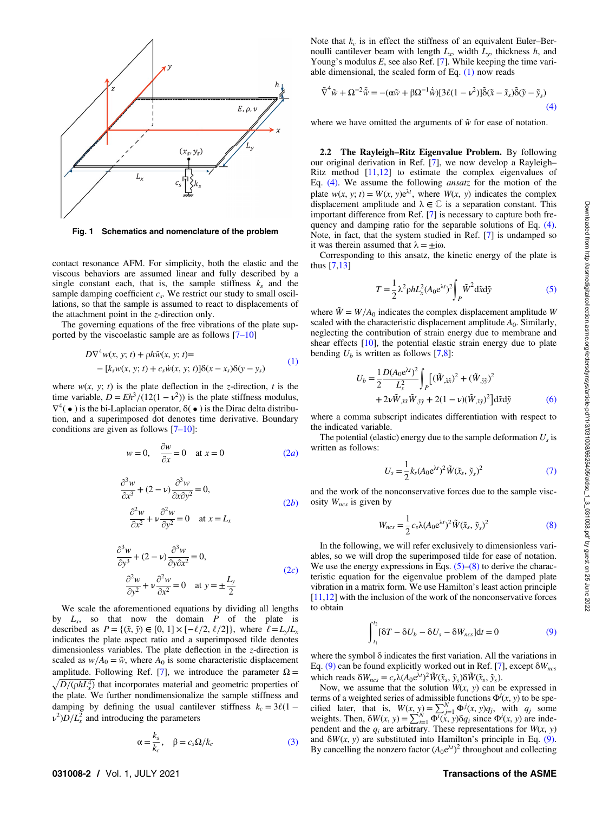<span id="page-1-0"></span>

Fig. 1 Schematics and nomenclature of the problem

contact resonance AFM. For simplicity, both the elastic and the viscous behaviors are assumed linear and fully described by a single constant each, that is, the sample stiffness  $k_s$  and the sample damping coefficient  $c_s$ . We restrict our study to small oscillations, so that the sample is assumed to react to displacements of the attachment point in the z-direction only.

The governing equations of the free vibrations of the plate supported by the viscoelastic sample are as follows [7–10]

$$
D\nabla^4 w(x, y; t) + \rho h \ddot{w}(x, y; t) =
$$
  
- [k<sub>s</sub>w(x, y; t) + c<sub>s</sub> \dot{w}(x, y; t)]\delta(x - x<sub>s</sub>)\delta(y - y<sub>s</sub>) (1)

where  $w(x, y; t)$  is the plate deflection in the *z*-direction, *t* is the time variable,  $D = Eh^3/(12(1 - v^2))$  is the plate stiffness modulus,  $\nabla^4(\bullet)$  is the bi-Laplacian operator,  $\delta(\bullet)$  is the Dirac delta distribution, and a superimposed dot denotes time derivative. Boundary conditions are given as follows [7–10]:

$$
w = 0, \quad \frac{\partial w}{\partial x} = 0 \quad \text{at } x = 0 \tag{2a}
$$

$$
\frac{\partial^3 w}{\partial x^3} + (2 - v) \frac{\partial^3 w}{\partial x \partial y^2} = 0,
$$
  

$$
\frac{\partial^2 w}{\partial x^2} + v \frac{\partial^2 w}{\partial y^2} = 0 \quad \text{at } x = L_x
$$
 (2b)

$$
\frac{\partial^3 w}{\partial y^3} + (2 - v)\frac{\partial^3 w}{\partial y \partial x^2} = 0,
$$
  

$$
\frac{\partial^2 w}{\partial y^2} + v\frac{\partial^2 w}{\partial x^2} = 0 \quad \text{at } y = \pm \frac{L_y}{2}
$$
 (2*c*)

We scale the aforementioned equations by dividing all lengths by  $L_x$ , so that now the domain P of the plate is described as  $P = \{(\tilde{x}, \tilde{y}) \in [0, 1] \times [-\ell/2, \ell/2] \}$ , where  $\ell = L_y/L_x$ indicates the plate aspect ratio and a superimposed tilde denotes dimensionless variables. The plate deflection in the z-direction is scaled as  $w/A_0 = \tilde{w}$ , where  $A_0$  is some characteristic displacement amplitude. Following Ref. [[7](#page-6-0)], we introduce the parameter  $\Omega =$  $\sqrt{D/(\rho h L_x^4)}$  that incorporates material and geometric properties of the plate. We further nondimensionalize the sample stiffness and damping by defining the usual cantilever stiffness  $k_c = 3\ell(1$  $v^2$ ) $D/L_x^2$  and introducing the parameters

$$
\alpha = \frac{k_s}{k_c}, \quad \beta = c_s \Omega / k_c \tag{3}
$$

Note that  $k_c$  is in effect the stiffness of an equivalent Euler–Bernoulli cantilever beam with length  $L_x$ , width  $L_y$ , thickness h, and Young's modulus  $E$ , see also Ref. [\[7\]](#page-6-0). While keeping the time variable dimensional, the scaled form of Eq.  $(1)$  now reads

$$
\tilde{\nabla}^4 \tilde{w} + \Omega^{-2} \ddot{\tilde{w}} = -(\alpha \tilde{w} + \beta \Omega^{-1} \dot{\tilde{w}}) [3\ell(1 - \nu^2)] \tilde{\delta}(\tilde{x} - \tilde{x}_s) \tilde{\delta}(\tilde{y} - \tilde{y}_s)
$$
\n(4)

where we have omitted the arguments of  $\tilde{w}$  for ease of notation.

2.2 The Rayleigh–Ritz Eigenvalue Problem. By following our original derivation in Ref. [\[7\]](#page-6-0), we now develop a Rayleigh– Ritz method  $[11,12]$  $[11,12]$  to estimate the complex eigenvalues of Eq. (4). We assume the following ansatz for the motion of the plate  $w(x, y; t) = W(x, y)e^{\lambda t}$ , where  $W(x, y)$  indicates the complex displacement amplitude and  $\lambda \in \mathbb{C}$  is a separation constant. This important difference from Ref. [[7](#page-6-0)] is necessary to capture both frequency and damping ratio for the separable solutions of Eq. (4). Note, in fact, that the system studied in Ref. [\[7\]](#page-6-0) is undamped so it was therein assumed that  $\lambda = \pm i\omega$ .

Corresponding to this ansatz, the kinetic energy of the plate is thus [\[7,13](#page-6-0)]

$$
T = \frac{1}{2} \lambda^2 \rho h L_x^2 (A_0 e^{\lambda t})^2 \int_P \tilde{W}^2 d\tilde{x} d\tilde{y}
$$
 (5)

where  $\ddot{W} = W/A_0$  indicates the complex displacement amplitude W scaled with the characteristic displacement amplitude  $A_0$ . Similarly, neglecting the contribution of strain energy due to membrane and shear effects [\[10](#page-6-0)], the potential elastic strain energy due to plate bending  $U_b$  is written as follows [[7](#page-6-0),[8](#page-6-0)]:

$$
U_b = \frac{1}{2} \frac{D(A_0 e^{\lambda t})^2}{L_x^2} \int_P [(\tilde{W}_{,\tilde{x}\tilde{x}})^2 + (\tilde{W}_{,\tilde{y}\tilde{y}})^2 + 2\nu \tilde{W}_{,\tilde{x}\tilde{x}} \tilde{W}_{,\tilde{y}\tilde{y}} + 2(1 - \nu)(\tilde{W}_{,\tilde{x}\tilde{y}})^2] d\tilde{x} d\tilde{y}
$$
(6)

where a comma subscript indicates differentiation with respect to the indicated variable.

The potential (elastic) energy due to the sample deformation  $U_s$  is written as follows:

$$
U_s = \frac{1}{2} k_s (A_0 e^{\lambda t})^2 \tilde{W}(\tilde{x}_s, \tilde{y}_s)^2
$$
\n<sup>(7)</sup>

and the work of the nonconservative forces due to the sample viscosity  $W_{ncs}$  is given by

$$
W_{ncs} = \frac{1}{2} c_s \lambda (A_0 e^{\lambda t})^2 \tilde{W}(\tilde{x}_s, \tilde{y}_s)^2
$$
 (8)

In the following, we will refer exclusively to dimensionless variables, so we will drop the superimposed tilde for ease of notation. We use the energy expressions in Eqs.  $(5)$ – $(8)$  to derive the characteristic equation for the eigenvalue problem of the damped plate vibration in a matrix form. We use Hamilton's least action principle [[11,12](#page-6-0)] with the inclusion of the work of the nonconservative forces to obtain

$$
\int_{t_1}^{t_2} [\delta T - \delta U_b - \delta U_s - \delta W_{ncs}] dt = 0 \tag{9}
$$

where the symbol δ indicates the first variation. All the variations in Eq. (9) can be found explicitly worked out in Ref. [\[7\]](#page-6-0), except  $\delta W_{ncs}$ which reads  $\delta W_{ncs} = c_s \lambda (A_0 e^{\lambda t})^2 \tilde{W}(\tilde{x}_s, \tilde{y}_s) \delta \tilde{W}(\tilde{x}_s, \tilde{y}_s)$ .

Now, we assume that the solution  $W(x, y)$  can be expressed in terms of a weighted series of admissible functions  $\Phi^j(x, y)$  to be specified later, that is,  $W(x, y) = \sum_{j=1}^N \Phi^j(x, y)q_j$ , with  $q_j$  some weights. Then,  $\delta W(x, y) = \sum_{i=1}^{N} \overline{\Phi^{i}(x, y)} \delta q_{i}$  since  $\Phi^{i}(x, y)$  are independent and the  $q_i$  are arbitrary. These representations for  $W(x, y)$ and  $\delta W(x, y)$  are substituted into Hamilton's principle in Eq. (9). By cancelling the nonzero factor  $(A_0e^{\lambda t})^2$  throughout and collecting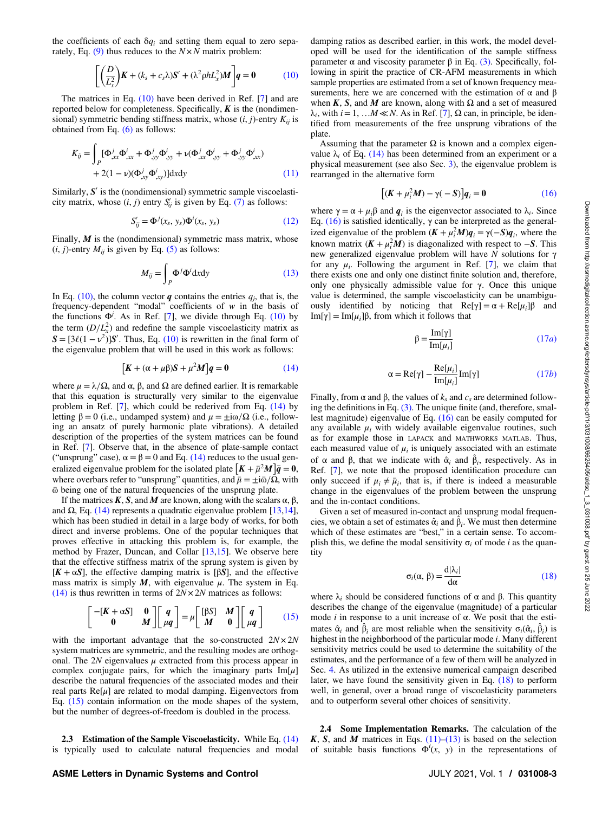<span id="page-2-0"></span>the coefficients of each  $\delta q_i$  and setting them equal to zero separately, Eq.  $(9)$  thus reduces to the  $N \times N$  matrix problem:

$$
\left[ \left( \frac{D}{L_x^2} \right) \mathbf{K} + (k_s + c_s \lambda) \mathbf{S}' + (\lambda^2 \rho h L_x^2) \mathbf{M} \right] \mathbf{q} = \mathbf{0} \tag{10}
$$

The matrices in Eq. (10) have been derived in Ref. [[7](#page-6-0)] and are reported below for completeness. Specifically,  $K$  is the (nondimensional) symmetric bending stiffness matrix, whose  $(i, j)$ -entry  $K_{ii}$  is obtained from Eq. [\(6\)](#page-1-0) as follows:

$$
K_{ij} = \int_{P} [\Phi_{,xx}^{j} \Phi_{,xx}^{i} + \Phi_{,yy}^{j} \Phi_{,yy}^{i} + \nu (\Phi_{,xx}^{j} \Phi_{,yy}^{i} + \Phi_{,yy}^{j} \Phi_{,xx}^{i})
$$
  
+ 2(1 - \nu)(\Phi\_{,xy}^{j} \Phi\_{,xy}^{i})]dxdy (11)

Similarly,  $S'$  is the (nondimensional) symmetric sample viscoelasticity matrix, whose  $(i, j)$  entry  $S'_{ij}$  is given by Eq. [\(7\)](#page-1-0) as follows:

$$
S'_{ij} = \Phi^j(x_s, y_s) \Phi^i(x_s, y_s)
$$
 (12)

Finally,  $M$  is the (nondimensional) symmetric mass matrix, whose  $(i, j)$ -entry  $M_{ii}$  is given by Eq. [\(5\)](#page-1-0) as follows:

$$
M_{ij} = \int_{P} \Phi^{j} \Phi^{i} dxdy
$$
 (13)

In Eq. (10), the column vector q contains the entries  $q_i$ , that is, the frequency-dependent "modal" coefficients of  $w$  in the basis of the functions  $\Phi^j$ . As in Ref. [[7](#page-6-0)], we divide through Eq. (10) by the term  $(D/L_x^2)$  and redefine the sample viscoelasticity matrix as  $S = [3\ell(1 - \nu^2)]S'$ . Thus, Eq. (10) is rewritten in the final form of the eigenvalue problem that will be used in this work as follows:

$$
[K + (\alpha + \mu \beta)S + \mu^2 M]q = 0 \qquad (14)
$$

where  $\mu = \lambda/\Omega$ , and  $\alpha$ ,  $\beta$ , and  $\Omega$  are defined earlier. It is remarkable that this equation is structurally very similar to the eigenvalue problem in Ref. [\[7\]](#page-6-0), which could be rederived from Eq. (14) by letting  $β = 0$  (i.e., undamped system) and  $μ = ±iω/Ω$  (i.e., following an ansatz of purely harmonic plate vibrations). A detailed description of the properties of the system matrices can be found in Ref. [\[7\]](#page-6-0). Observe that, in the absence of plate-sample contact ("unsprung" case),  $\alpha = \beta = 0$  and Eq. (14) reduces to the usual generalized eigenvalue problem for the isolated plate  $[K + \bar{\mu}^2 M]\bar{q} = 0$ , where overbars refer to "unsprung" quantities, and  $\bar{\mu} = \pm i \bar{\omega}/\Omega$ , with  $\bar{\omega}$  being one of the natural frequencies of the unsprung plate.

If the matrices K, S, and M are known, along with the scalars α, β, and  $Ω$ , Eq. (14) represents a quadratic eigenvalue problem [[13,14\]](#page-6-0), which has been studied in detail in a large body of works, for both direct and inverse problems. One of the popular techniques that proves effective in attacking this problem is, for example, the method by Frazer, Duncan, and Collar [\[13,15](#page-6-0)]. We observe here that the effective stiffness matrix of the sprung system is given by  $[K + \alpha S]$ , the effective damping matrix is [ $\beta S$ ], and the effective mass matrix is simply  $M$ , with eigenvalue  $\mu$ . The system in Eq. (14) is thus rewritten in terms of  $2N \times 2N$  matrices as follows:

$$
\begin{bmatrix} -[K+\alpha S] & 0 \\ 0 & M \end{bmatrix} \begin{bmatrix} q \\ \mu q \end{bmatrix} = \mu \begin{bmatrix} [\beta S] & M \\ M & 0 \end{bmatrix} \begin{bmatrix} q \\ \mu q \end{bmatrix} \qquad (15)
$$

with the important advantage that the so-constructed  $2N \times 2N$ system matrices are symmetric, and the resulting modes are orthogonal. The 2N eigenvalues  $\mu$  extracted from this process appear in complex conjugate pairs, for which the imaginary parts  $Im[\mu]$ describe the natural frequencies of the associated modes and their real parts  $Re[\mu]$  are related to modal damping. Eigenvectors from Eq. (15) contain information on the mode shapes of the system, but the number of degrees-of-freedom is doubled in the process.

2.3 Estimation of the Sample Viscoelasticity. While Eq. (14) is typically used to calculate natural frequencies and modal

damping ratios as described earlier, in this work, the model developed will be used for the identification of the sample stiffness parameter α and viscosity parameter  $β$  in Eq. [\(3\)](#page-1-0). Specifically, following in spirit the practice of CR-AFM measurements in which sample properties are estimated from a set of known frequency measurements, here we are concerned with the estimation of  $\alpha$  and  $\beta$ when K, S, and M are known, along with  $\Omega$  and a set of measured  $\lambda_i$ , with  $i=1, \ldots M \ll N$ . As in Ref. [[7](#page-6-0)],  $\Omega$  can, in principle, be identified from measurements of the free unsprung vibrations of the plate.

Assuming that the parameter  $\Omega$  is known and a complex eigenvalue  $\lambda_i$  of Eq. (14) has been determined from an experiment or a physical measurement (see also Sec. [3\)](#page-3-0), the eigenvalue problem is rearranged in the alternative form

$$
[(K + \mu_i^2 M) - \gamma(-S)]q_i = 0 \qquad (16)
$$

where  $\gamma = \alpha + \mu_i \beta$  and  $q_i$  is the eigenvector associated to  $\lambda_i$ . Since Eq. (16) is satisfied identically,  $γ$  can be interpreted as the generalized eigenvalue of the problem  $(K + \mu_i^2 M)q_i = \gamma(-S)q_i$ , where the known matrix  $(K + \mu_i^2 M)$  is diagonalized with respect to  $-S$ . This new generalized eigenvalue problem will have N solutions for  $γ$ for any  $\mu_i$ . Following the argument in Ref. [[7](#page-6-0)], we claim that there exists one and only one distinct finite solution and, therefore, only one physically admissible value for γ. Once this unique value is determined, the sample viscoelasticity can be unambiguously identified by noticing that  $\text{Re}[\gamma] = \alpha + \text{Re}[\mu_i]\beta$  and Im[γ] = Im[ $\mu$ <sub>i</sub>] $\beta$ , from which it follows that

$$
\beta = \frac{\text{Im}[\gamma]}{\text{Im}[\mu_i]}
$$
 (17*a*)

$$
\alpha = \text{Re}[\gamma] - \frac{\text{Re}[\mu_i]}{\text{Im}[\mu_i]} \text{Im}[\gamma] \tag{17b}
$$

Finally, from  $\alpha$  and  $\beta$ , the values of  $k_s$  and  $c_s$  are determined following the definitions in Eq.  $(3)$ . The unique finite (and, therefore, smallest magnitude) eigenvalue of Eq. (16) can be easily computed for any available  $\mu_i$  with widely available eigenvalue routines, such as for example those in LAPACK and MATHWORKS MATLAB. Thus, each measured value of  $\mu_i$  is uniquely associated with an estimate of  $\alpha$  and  $\beta$ , that we indicate with  $\hat{\alpha}_i$  and  $\hat{\beta}_i$ , respectively. As in Ref. [[7](#page-6-0)], we note that the proposed identification procedure can only succeed if  $\mu_i \neq \bar{\mu}_i$ , that is, if there is indeed a measurable change in the eigenvalues of the problem between the unsprung and the in-contact conditions.

Given a set of measured in-contact and unsprung modal frequencies, we obtain a set of estimates  $\hat{\alpha}_i$  and  $\hat{\beta}_i$ . We must then determine which of these estimates are "best," in a certain sense. To accomplish this, we define the modal sensitivity  $\sigma_i$  of mode *i* as the quantity

$$
\sigma_i(\alpha, \beta) = \frac{\mathrm{d}|\lambda_i|}{\mathrm{d}\alpha} \tag{18}
$$

where  $\lambda_i$  should be considered functions of  $\alpha$  and  $\beta$ . This quantity describes the change of the eigenvalue (magnitude) of a particular mode *i* in response to a unit increase of  $\alpha$ . We posit that the estimates  $\hat{\alpha}_i$  and  $\hat{\beta}_i$  are most reliable when the sensitivity  $\sigma_i(\hat{\alpha}_i, \hat{\beta}_i)$  is highest in the neighborhood of the particular mode i. Many different sensitivity metrics could be used to determine the suitability of the estimates, and the performance of a few of them will be analyzed in Sec. [4](#page-5-0). As utilized in the extensive numerical campaign described later, we have found the sensitivity given in Eq. (18) to perform well, in general, over a broad range of viscoelasticity parameters and to outperform several other choices of sensitivity.

2.4 Some Implementation Remarks. The calculation of the K, S, and M matrices in Eqs.  $(11)$ – $(13)$  is based on the selection of suitable basis functions  $\Phi^{i}(x, y)$  in the representations of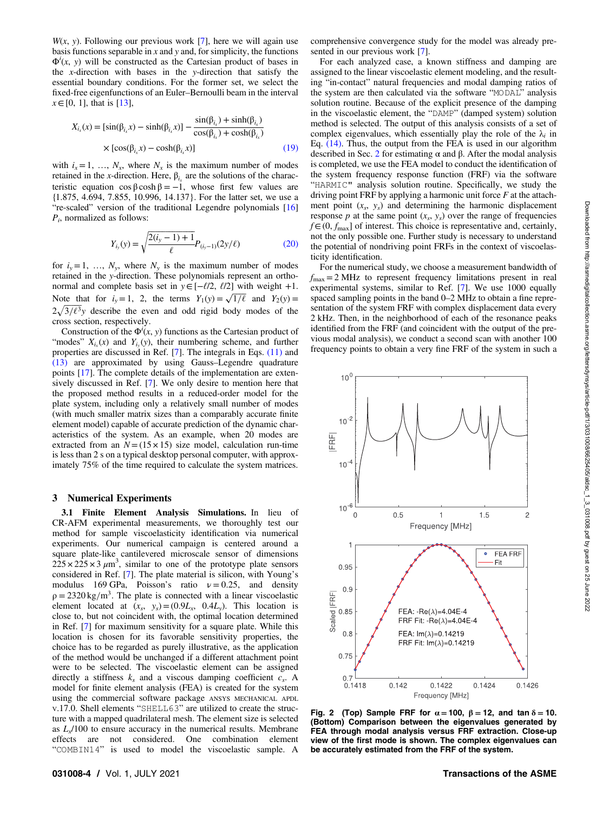<span id="page-3-0"></span> $W(x, y)$ . Following our previous work [\[7\]](#page-6-0), here we will again use basis functions separable in  $x$  and  $y$  and, for simplicity, the functions  $\Phi^i(x, y)$  will be constructed as the Cartesian product of bases in the x-direction with bases in the y-direction that satisfy the essential boundary conditions. For the former set, we select the fixed-free eigenfunctions of an Euler–Bernoulli beam in the interval  $x \in [0, 1]$ , that is [\[13](#page-6-0)],

$$
X_{i_x}(x) = \left[\sin(\beta_{i_x}x) - \sinh(\beta_{i_x}x)\right] - \frac{\sin(\beta_{i_x}) + \sinh(\beta_{i_x})}{\cos(\beta_{i_x}) + \cosh(\beta_{i_x})}
$$
  
 
$$
\times \left[\cos(\beta_{i_x}x) - \cosh(\beta_{i_x}x)\right]
$$
 (19)

with  $i_x = 1, \ldots, N_x$ , where  $N_x$  is the maximum number of modes retained in the x-direction. Here,  $β<sub>i</sub>$  are the solutions of the characteristic equation  $\cos \beta \cosh \beta = -1$ , whose first few values are {1.875, 4.694, 7.855, 10.996, 14.137}. For the latter set, we use a "re-scaled" version of the traditional Legendre polynomials [\[16](#page-6-0)]  $P_i$ , normalized as follows:

$$
Y_{i_y}(y) = \sqrt{\frac{2(i_y - 1) + 1}{\ell}} P_{(i_y - 1)}(2y/\ell)
$$
 (20)

for  $i_y=1, \ldots, N_y$ , where  $N_y$  is the maximum number of modes retained in the y-direction. These polynomials represent an orthonormal and complete basis set in  $y \in [-\ell/2, \ell/2]$  with weight +1. Note that for  $i_y = 1$ , 2, the terms  $Y_1(y) = \sqrt{1/\ell}$  and  $Y_2(y) =$  $2\sqrt{3/\ell^3}$ y describe the even and odd rigid body modes of the cross section, respectively.

Construction of the  $\Phi^i(x, y)$  functions as the Cartesian product of "modes"  $X_{i<sub>x</sub>}(x)$  and  $Y_{i<sub>y</sub>}(y)$ , their numbering scheme, and further properties are discussed in Ref. [\[7\]](#page-6-0). The integrals in Eqs. [\(11\)](#page-2-0) and [\(13\)](#page-2-0) are approximated by using Gauss–Legendre quadrature points [\[17](#page-6-0)]. The complete details of the implementation are extensively discussed in Ref. [\[7\]](#page-6-0). We only desire to mention here that the proposed method results in a reduced-order model for the plate system, including only a relatively small number of modes (with much smaller matrix sizes than a comparably accurate finite element model) capable of accurate prediction of the dynamic characteristics of the system. As an example, when 20 modes are extracted from an  $N = (15 \times 15)$  size model, calculation run-time is less than 2 s on a typical desktop personal computer, with approximately 75% of the time required to calculate the system matrices.

#### 3 Numerical Experiments

3.1 Finite Element Analysis Simulations. In lieu of CR-AFM experimental measurements, we thoroughly test our method for sample viscoelasticity identification via numerical experiments. Our numerical campaign is centered around a square plate-like cantilevered microscale sensor of dimensions  $225 \times 225 \times 3 \mu m^3$ , similar to one of the prototype plate sensors considered in Ref. [[7\]](#page-6-0). The plate material is silicon, with Young's modulus 169 GPa, Poisson's ratio  $v = 0.25$ , and density  $\rho = 2320 \text{ kg/m}^3$ . The plate is connected with a linear viscoelastic element located at  $(x_s, y_s) = (0.9L_x, 0.4L_y)$ . This location is close to, but not coincident with, the optimal location determined in Ref. [[7](#page-6-0)] for maximum sensitivity for a square plate. While this location is chosen for its favorable sensitivity properties, the choice has to be regarded as purely illustrative, as the application of the method would be unchanged if a different attachment point were to be selected. The viscoelastic element can be assigned directly a stiffness  $k<sub>s</sub>$  and a viscous damping coefficient  $c<sub>s</sub>$ . A model for finite element analysis (FEA) is created for the system using the commercial software package ANSYS MECHANICAL APDL V.17.0. Shell elements "SHELL63" are utilized to create the structure with a mapped quadrilateral mesh. The element size is selected as  $L<sub>x</sub>/100$  to ensure accuracy in the numerical results. Membrane effects are not considered. One combination element "COMBIN14" is used to model the viscoelastic sample. A

comprehensive convergence study for the model was already presented in our previous work [\[7\]](#page-6-0).

For each analyzed case, a known stiffness and damping are assigned to the linear viscoelastic element modeling, and the resulting "in-contact" natural frequencies and modal damping ratios of the system are then calculated via the software "MODAL" analysis solution routine. Because of the explicit presence of the damping in the viscoelastic element, the "DAMP" (damped system) solution method is selected. The output of this analysis consists of a set of complex eigenvalues, which essentially play the role of the  $\lambda_i$  in Eq. [\(14\)](#page-2-0). Thus, the output from the FEA is used in our algorithm described in Sec. [2](#page-0-0) for estimating α and β. After the modal analysis is completed, we use the FEA model to conduct the identification of the system frequency response function (FRF) via the software "HARMIC" analysis solution routine. Specifically, we study the driving point FRF by applying a harmonic unit force  $F$  at the attachment point  $(x_s, y_s)$  and determining the harmonic displacement response p at the same point  $(x_s, y_s)$  over the range of frequencies  $f \in (0, f_{\text{max}}]$  of interest. This choice is representative and, certainly, not the only possible one. Further study is necessary to understand the potential of nondriving point FRFs in the context of viscoelasticity identification.

For the numerical study, we choose a measurement bandwidth of  $f_{\text{max}} = 2 \text{ MHz}$  to represent frequency limitations present in real experimental systems, similar to Ref. [\[7\]](#page-6-0). We use 1000 equally spaced sampling points in the band 0–2 MHz to obtain a fine representation of the system FRF with complex displacement data every 2 kHz. Then, in the neighborhood of each of the resonance peaks identified from the FRF (and coincident with the output of the previous modal analysis), we conduct a second scan with another 100 frequency points to obtain a very fine FRF of the system in such a



Fig. 2 (Top) Sample FRF for  $\alpha = 100$ ,  $\beta = 12$ , and tan  $\delta = 10$ . (Bottom) Comparison between the eigenvalues generated by FEA through modal analysis versus FRF extraction. Close-up view of the first mode is shown. The complex eigenvalues can be accurately estimated from the FRF of the system.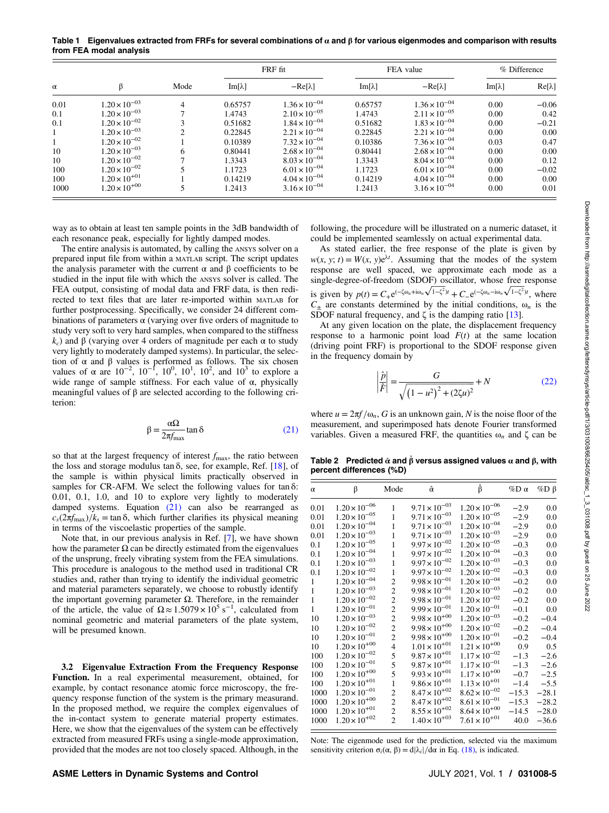<span id="page-4-0"></span>Table 1 Eigenvalues extracted from FRFs for several combinations of  $\alpha$  and  $\beta$  for various eigenmodes and comparison with results from FEA modal analysis

|          |                        |      |               | FRF fit                |               | FEA value              |               | % Difference  |  |
|----------|------------------------|------|---------------|------------------------|---------------|------------------------|---------------|---------------|--|
| $\alpha$ | β                      | Mode | $Im[\lambda]$ | $-Re[\lambda]$         | $Im[\lambda]$ | $-Re[\lambda]$         | $Im[\lambda]$ | $Re[\lambda]$ |  |
| 0.01     | $1.20 \times 10^{-03}$ | 4    | 0.65757       | $1.36 \times 10^{-04}$ | 0.65757       | $1.36 \times 10^{-04}$ | 0.00          | $-0.06$       |  |
| 0.1      | $1.20 \times 10^{-03}$ |      | 1.4743        | $2.10 \times 10^{-05}$ | 1.4743        | $2.11 \times 10^{-05}$ | 0.00          | 0.42          |  |
| 0.1      | $1.20 \times 10^{-02}$ |      | 0.51682       | $1.84 \times 10^{-04}$ | 0.51682       | $1.83 \times 10^{-04}$ | 0.00          | $-0.21$       |  |
|          | $1.20 \times 10^{-03}$ |      | 0.22845       | $2.21 \times 10^{-04}$ | 0.22845       | $2.21 \times 10^{-04}$ | 0.00          | 0.00          |  |
|          | $1.20 \times 10^{-02}$ |      | 0.10389       | $7.32 \times 10^{-04}$ | 0.10386       | $7.36 \times 10^{-04}$ | 0.03          | 0.47          |  |
| 10       | $1.20 \times 10^{-03}$ | 6    | 0.80441       | $2.68 \times 10^{-04}$ | 0.80441       | $2.68 \times 10^{-04}$ | 0.00          | 0.00          |  |
| 10       | $1.20 \times 10^{-02}$ |      | 1.3343        | $8.03 \times 10^{-04}$ | 1.3343        | $8.04 \times 10^{-04}$ | 0.00          | 0.12          |  |
| 100      | $1.20 \times 10^{-02}$ |      | 1.1723        | $6.01 \times 10^{-04}$ | 1.1723        | $6.01 \times 10^{-04}$ | 0.00          | $-0.02$       |  |
| 100      | $1.20 \times 10^{+01}$ |      | 0.14219       | $4.04 \times 10^{-04}$ | 0.14219       | $4.04 \times 10^{-04}$ | 0.00          | 0.00          |  |
| 1000     | $1.20 \times 10^{+00}$ |      | 1.2413        | $3.16 \times 10^{-04}$ | 1.2413        | $3.16 \times 10^{-04}$ | 0.00          | 0.01          |  |

way as to obtain at least ten sample points in the 3dB bandwidth of each resonance peak, especially for lightly damped modes.

The entire analysis is automated, by calling the ANSYS solver on a prepared input file from within a MATLAB script. The script updates the analysis parameter with the current  $\alpha$  and  $\beta$  coefficients to be studied in the input file with which the ANSYS solver is called. The FEA output, consisting of modal data and FRF data, is then redirected to text files that are later re-imported within MATLAB for further postprocessing. Specifically, we consider 24 different combinations of parameters  $\alpha$  (varying over five orders of magnitude to study very soft to very hard samples, when compared to the stiffness  $k<sub>c</sub>$ ) and β (varying over 4 orders of magnitude per each α to study very lightly to moderately damped systems). In particular, the selection of  $\alpha$  and  $\beta$  values is performed as follows. The six chosen values of α are  $10^{-2}$ ,  $10^{-1}$ ,  $10^{0}$ ,  $10^{1}$ ,  $10^{2}$ , and  $10^{3}$  to explore a wide range of sample stiffness. For each value of  $\alpha$ , physically meaningful values of β are selected according to the following criterion:

$$
\beta = \frac{\alpha \Omega}{2\pi f_{\text{max}}} \tan \delta \tag{21}
$$

so that at the largest frequency of interest  $f_{\text{max}}$ , the ratio between the loss and storage modulus tan  $\delta$ , see, for example, Ref. [[18\]](#page-6-0), of the sample is within physical limits practically observed in samples for CR-AFM. We select the following values for tan $\delta$ : 0.01, 0.1, 1.0, and 10 to explore very lightly to moderately damped systems. Equation (21) can also be rearranged as  $c_s(2\pi f_{\text{max}})/k_s = \tan \delta$ , which further clarifies its physical meaning in terms of the viscoelastic properties of the sample.

Note that, in our previous analysis in Ref. [\[7\]](#page-6-0), we have shown how the parameter  $\Omega$  can be directly estimated from the eigenvalues of the unsprung, freely vibrating system from the FEA simulations. This procedure is analogous to the method used in traditional CR studies and, rather than trying to identify the individual geometric and material parameters separately, we choose to robustly identify the important governing parameter  $Ω$ . Therefore, in the remainder of the article, the value of  $\Omega \approx 1.5079 \times 10^5 \text{ s}^{-1}$ , calculated from nominal geometric and material parameters of the plate system, will be presumed known.

3.2 Eigenvalue Extraction From the Frequency Response Function. In a real experimental measurement, obtained, for example, by contact resonance atomic force microscopy, the frequency response function of the system is the primary measurand. In the proposed method, we require the complex eigenvalues of the in-contact system to generate material property estimates. Here, we show that the eigenvalues of the system can be effectively extracted from measured FRFs using a single-mode approximation, provided that the modes are not too closely spaced. Although, in the following, the procedure will be illustrated on a numeric dataset, it could be implemented seamlessly on actual experimental data.

As stated earlier, the free response of the plate is given by  $w(x, y; t) = W(x, y)e^{\lambda t}$ . Assuming that the modes of the system response are well spaced, we approximate each mode as a single-degree-of-freedom (SDOF) oscillator, whose free response is given by  $p(t) = C_{+}e^{(-\zeta \omega_n + i\omega_n \sqrt{1 - \zeta^2})t} + C_{-}e^{(-\zeta \omega_n - i\omega_n \sqrt{1 - \zeta^2})t}$ , where  $C_{\pm}$  are constants determined by the initial conditions,  $\omega_n$  is the SDOF natural frequency, and  $\zeta$  is the damping ratio [[13\]](#page-6-0).

At any given location on the plate, the displacement frequency response to a harmonic point load  $F(t)$  at the same location (driving point FRF) is proportional to the SDOF response given in the frequency domain by

$$
\left| \frac{\hat{p}}{\hat{F}} \right| = \frac{G}{\sqrt{\left(1 - u^2\right)^2 + \left(2\zeta u\right)^2}} + N \tag{22}
$$

where  $u = 2\pi f/\omega_n$ , G is an unknown gain, N is the noise floor of the measurement, and superimposed hats denote Fourier transformed variables. Given a measured FRF, the quantities  $\omega_n$  and  $\zeta$  can be

Table 2 Predicted  $\hat{\alpha}$  and  $\hat{\beta}$  versus assigned values  $\alpha$  and  $\beta$ , with percent differences (%D)

| $\alpha$     | β                      | Mode           | âι                     | β                      | %Dα     | $\%\mathbf{D} \upbeta$ |
|--------------|------------------------|----------------|------------------------|------------------------|---------|------------------------|
| 0.01         | $1.20 \times 10^{-06}$ | 1              | $9.71 \times 10^{-03}$ | $1.20 \times 10^{-06}$ | $-2.9$  | 0.0                    |
| 0.01         | $1.20 \times 10^{-05}$ | 1              | $9.71 \times 10^{-03}$ | $1.20 \times 10^{-05}$ | $-2.9$  | 0.0                    |
| 0.01         | $1.20 \times 10^{-04}$ | 1              | $9.71 \times 10^{-03}$ | $1.20 \times 10^{-04}$ | $-2.9$  | 0.0                    |
| 0.01         | $1.20 \times 10^{-03}$ | 1              | $9.71 \times 10^{-03}$ | $1.20 \times 10^{-03}$ | $-2.9$  | 0.0                    |
| 0.1          | $1.20 \times 10^{-05}$ | 1              | $9.97 \times 10^{-02}$ | $1.20 \times 10^{-05}$ | $-0.3$  | 0.0                    |
| 0.1          | $1.20 \times 10^{-04}$ | 1              | $9.97 \times 10^{-02}$ | $1.20 \times 10^{-04}$ | $-0.3$  | 0.0                    |
| 0.1          | $1.20 \times 10^{-03}$ | 1              | $9.97 \times 10^{-02}$ | $1.20 \times 10^{-03}$ | $-0.3$  | 0.0                    |
| 0.1          | $1.20 \times 10^{-02}$ | 1              | $9.97 \times 10^{-02}$ | $1.20 \times 10^{-02}$ | $-0.3$  | 0.0                    |
| $\mathbf{1}$ | $1.20 \times 10^{-04}$ | 2              | $9.98 \times 10^{-01}$ | $1.20 \times 10^{-04}$ | $-0.2$  | 0.0                    |
| 1            | $1.20 \times 10^{-03}$ | $\overline{c}$ | $9.98 \times 10^{-01}$ | $1.20 \times 10^{-03}$ | $-0.2$  | 0.0                    |
| $\mathbf{1}$ | $1.20 \times 10^{-02}$ | $\overline{c}$ | $9.98 \times 10^{-01}$ | $1.20 \times 10^{-02}$ | $-0.2$  | 0.0                    |
| 1            | $1.20 \times 10^{-01}$ | $\overline{c}$ | $9.99 \times 10^{-01}$ | $1.20 \times 10^{-01}$ | $-0.1$  | 0.0                    |
| 10           | $1.20 \times 10^{-03}$ | $\overline{c}$ | $9.98 \times 10^{+00}$ | $1.20 \times 10^{-03}$ | $-0.2$  | $-0.4$                 |
| 10           | $1.20 \times 10^{-02}$ | $\overline{c}$ | $9.98 \times 10^{+00}$ | $1.20 \times 10^{-02}$ | $-0.2$  | $-0.4$                 |
| 10           | $1.20 \times 10^{-01}$ | $\overline{c}$ | $9.98 \times 10^{+00}$ | $1.20 \times 10^{-01}$ | $-0.2$  | $-0.4$                 |
| 10           | $1.20 \times 10^{+00}$ | 4              | $1.01\times10^{+01}$   | $1.21 \times 10^{+00}$ | 0.9     | 0.5                    |
| 100          | $1.20 \times 10^{-02}$ | 5              | $9.87 \times 10^{+01}$ | $1.17 \times 10^{-02}$ | $-1.3$  | $-2.6$                 |
| 100          | $1.20 \times 10^{-01}$ | 5              | $9.87 \times 10^{+01}$ | $1.17 \times 10^{-01}$ | $-1.3$  | $-2.6$                 |
| 100          | $1.20 \times 10^{+00}$ | 5              | $9.93 \times 10^{+01}$ | $1.17 \times 10^{+00}$ | $-0.7$  | $-2.5$                 |
| 100          | $1.20 \times 10^{+01}$ | $\mathbf{1}$   | $9.86 \times 10^{+01}$ | $1.13 \times 10^{+01}$ | $-1.4$  | $-5.5$                 |
| 1000         | $1.20 \times 10^{-01}$ | 2              | $8.47 \times 10^{+02}$ | $8.62 \times 10^{-02}$ | $-15.3$ | $-28.1$                |
| 1000         | $1.20 \times 10^{+00}$ | $\overline{c}$ | $8.47 \times 10^{+02}$ | $8.61 \times 10^{-01}$ | $-15.3$ | $-28.2$                |
| 1000         | $1.20 \times 10^{+01}$ | $\overline{c}$ | $8.55 \times 10^{+02}$ | $8.64 \times 10^{+00}$ | $-14.5$ | $-28.0$                |
| 1000         | $1.20 \times 10^{+02}$ | $\overline{c}$ | $1.40 \times 10^{+03}$ | $7.61 \times 10^{+01}$ | 40.0    | $-36.6$                |
|              |                        |                |                        |                        |         |                        |

Note: The eigenmode used for the prediction, selected via the maximum sensitivity criterion  $\sigma_i(\alpha, \beta) = d |\lambda_i| / d\alpha$  in Eq. [\(18\)](#page-2-0), is indicated.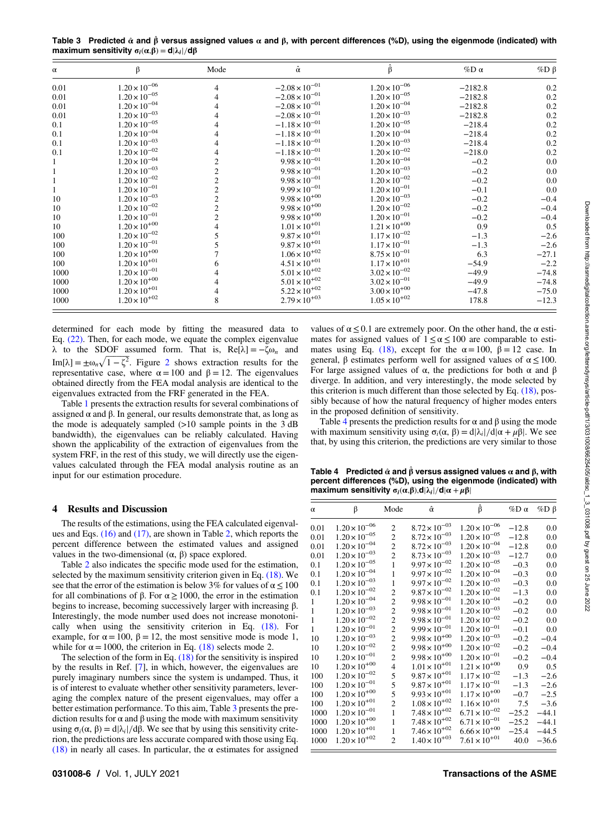<span id="page-5-0"></span>Table 3 Predicted  $\hat{\alpha}$  and  $\hat{\beta}$  versus assigned values  $\alpha$  and  $\beta$ , with percent differences (%D), using the eigenmode (indicated) with maximum sensitivity  $\sigma_i(\alpha,\beta) = d|\lambda_i|/d\beta$ 

| $\alpha$ | β                      | Mode           | â                       | ß                      | %D $\alpha$ | $%D$ $\beta$ |
|----------|------------------------|----------------|-------------------------|------------------------|-------------|--------------|
| 0.01     | $1.20 \times 10^{-06}$ | 4              | $-2.08 \times 10^{-01}$ | $1.20 \times 10^{-06}$ | $-2182.8$   | 0.2          |
| 0.01     | $1.20 \times 10^{-05}$ | 4              | $-2.08 \times 10^{-01}$ | $1.20 \times 10^{-05}$ | $-2182.8$   | 0.2          |
| 0.01     | $1.20 \times 10^{-04}$ | 4              | $-2.08 \times 10^{-01}$ | $1.20 \times 10^{-04}$ | $-2182.8$   | 0.2          |
| 0.01     | $1.20 \times 10^{-03}$ |                | $-2.08 \times 10^{-01}$ | $1.20 \times 10^{-03}$ | $-2182.8$   | 0.2          |
| 0.1      | $1.20 \times 10^{-05}$ | 4              | $-1.18 \times 10^{-01}$ | $1.20 \times 10^{-05}$ | $-218.4$    | 0.2          |
| 0.1      | $1.20 \times 10^{-04}$ | 4              | $-1.18 \times 10^{-01}$ | $1.20 \times 10^{-04}$ | $-218.4$    | 0.2          |
| 0.1      | $1.20 \times 10^{-03}$ |                | $-1.18 \times 10^{-01}$ | $1.20 \times 10^{-03}$ | $-218.4$    | 0.2          |
| 0.1      | $1.20 \times 10^{-02}$ |                | $-1.18 \times 10^{-01}$ | $1.20 \times 10^{-02}$ | $-218.0$    | 0.2          |
|          | $1.20 \times 10^{-04}$ |                | $9.98 \times 10^{-01}$  | $1.20 \times 10^{-04}$ | $-0.2$      | 0.0          |
|          | $1.20 \times 10^{-03}$ |                | $9.98 \times 10^{-01}$  | $1.20 \times 10^{-03}$ | $-0.2$      | 0.0          |
|          | $1.20 \times 10^{-02}$ | $\overline{c}$ | $9.98 \times 10^{-01}$  | $1.20 \times 10^{-02}$ | $-0.2$      | 0.0          |
|          | $1.20 \times 10^{-01}$ | 2              | $9.99 \times 10^{-01}$  | $1.20 \times 10^{-01}$ | $-0.1$      | 0.0          |
| 10       | $1.20 \times 10^{-03}$ |                | $9.98 \times 10^{+00}$  | $1.20 \times 10^{-03}$ | $-0.2$      | $-0.4$       |
| 10       | $1.20 \times 10^{-02}$ | $\overline{2}$ | $9.98 \times 10^{+00}$  | $1.20 \times 10^{-02}$ | $-0.2$      | $-0.4$       |
| 10       | $1.20\times10^{-01}$   |                | $9.98 \times 10^{+00}$  | $1.20 \times 10^{-01}$ | $-0.2$      | $-0.4$       |
| 10       | $1.20 \times 10^{+00}$ |                | $1.01 \times 10^{+01}$  | $1.21\times10^{+00}$   | 0.9         | 0.5          |
| 100      | $1.20 \times 10^{-02}$ |                | $9.87 \times 10^{+01}$  | $1.17 \times 10^{-02}$ | $-1.3$      | $-2.6$       |
| 100      | $1.20\times10^{-01}$   |                | $9.87 \times 10^{+01}$  | $1.17 \times 10^{-01}$ | $-1.3$      | $-2.6$       |
| 100      | $1.20 \times 10^{+00}$ |                | $1.06 \times 10^{+02}$  | $8.75 \times 10^{-01}$ | 6.3         | $-27.1$      |
| 100      | $1.20 \times 10^{+01}$ | 6              | $4.51 \times 10^{+01}$  | $1.17\times10^{+01}$   | $-54.9$     | $-2.2$       |
| 1000     | $1.20 \times 10^{-01}$ | 4              | $5.01 \times 10^{+02}$  | $3.02 \times 10^{-02}$ | $-49.9$     | $-74.8$      |
| 1000     | $1.20 \times 10^{+00}$ |                | $5.01\times10^{+02}$    | $3.02 \times 10^{-01}$ | $-49.9$     | $-74.8$      |
| 1000     | $1.20 \times 10^{+01}$ | 4              | $5.22 \times 10^{+02}$  | $3.00 \times 10^{+00}$ | $-47.8$     | $-75.0$      |
| 1000     | $1.20 \times 10^{+02}$ | 8              | $2.79 \times 10^{+03}$  | $1.05 \times 10^{+02}$ | 178.8       | $-12.3$      |

determined for each mode by fitting the measured data to Eq. [\(22\).](#page-4-0) Then, for each mode, we equate the complex eigenvalue λ to the SDOF assumed form. That is, Re[λ] = −ζω<sub>n</sub> and Im[ $\lambda$ ] =  $\pm \omega_n \sqrt{1 - \zeta^2}$  $\pm \omega_n \sqrt{1 - \zeta^2}$  $\pm \omega_n \sqrt{1 - \zeta^2}$ . Figure 2 shows extraction results for the representative case, where  $\alpha = 100$  and  $β = 12$ . The eigenvalues obtained directly from the FEA modal analysis are identical to the eigenvalues extracted from the FRF generated in the FEA.

Table [1](#page-4-0) presents the extraction results for several combinations of assigned  $\alpha$  and  $\beta$ . In general, our results demonstrate that, as long as the mode is adequately sampled (>10 sample points in the 3 dB bandwidth), the eigenvalues can be reliably calculated. Having shown the applicability of the extraction of eigenvalues from the system FRF, in the rest of this study, we will directly use the eigenvalues calculated through the FEA modal analysis routine as an input for our estimation procedure.

#### 4 Results and Discussion

The results of the estimations, using the FEA calculated eigenvalues and Eqs. [\(16\)](#page-2-0) and [\(17\)](#page-2-0), are shown in Table [2,](#page-4-0) which reports the percent difference between the estimated values and assigned values in the two-dimensional (α, β) space explored.

Table [2](#page-4-0) also indicates the specific mode used for the estimation, selected by the maximum sensitivity criterion given in Eq. [\(18\)](#page-2-0). We see that the error of the estimation is below 3% for values of  $\alpha \le 100$ for all combinations of β. For  $\alpha \ge 1000$ , the error in the estimation begins to increase, becoming successively larger with increasing β. Interestingly, the mode number used does not increase monotonically when using the sensitivity criterion in Eq. [\(18\).](#page-2-0) For example, for  $\alpha = 100$ ,  $\beta = 12$ , the most sensitive mode is mode 1, while for  $\alpha = 1000$ , the criterion in Eq. [\(18\)](#page-2-0) selects mode 2.

The selection of the form in Eq.  $(18)$  for the sensitivity is inspired by the results in Ref. [[7](#page-6-0)], in which, however, the eigenvalues are purely imaginary numbers since the system is undamped. Thus, it is of interest to evaluate whether other sensitivity parameters, leveraging the complex nature of the present eigenvalues, may offer a better estimation performance. To this aim, Table 3 presents the prediction results for  $\alpha$  and  $\beta$  using the mode with maximum sensitivity using  $σ_i(α, β) = d|λ_i|/dβ$ . We see that by using this sensitivity criterion, the predictions are less accurate compared with those using Eq. [\(18\)](#page-2-0) in nearly all cases. In particular, the  $\alpha$  estimates for assigned values of  $\alpha \leq 0.1$  are extremely poor. On the other hand, the  $\alpha$  estimates for assigned values of  $1 \le \alpha \le 100$  are comparable to esti-mates using Eq. [\(18\),](#page-2-0) except for the  $\alpha = 100$ ,  $\beta = 12$  case. In general,  $\beta$  estimates perform well for assigned values of  $\alpha \le 100$ . For large assigned values of  $\alpha$ , the predictions for both  $\alpha$  and  $\beta$ diverge. In addition, and very interestingly, the mode selected by this criterion is much different than those selected by Eq.  $(18)$ , possibly because of how the natural frequency of higher modes enters in the proposed definition of sensitivity.

Table 4 presents the prediction results for  $\alpha$  and  $\beta$  using the mode with maximum sensitivity using  $\sigma_i(\alpha, \beta) = d|\lambda_i|/d|\alpha + \mu \beta|$ . We see that, by using this criterion, the predictions are very similar to those

Table 4 Predicted  $\hat{\alpha}$  and  $\hat{\beta}$  versus assigned values  $\alpha$  and  $\beta$ , with percent differences (%D), using the eigenmode (indicated) with maximum sensitivity  $\sigma_i(\alpha,\beta), d|\lambda_i|/d|\alpha + \mu\beta|$ 

| $\alpha$     | β                      | Mode                    | â                      | β                      | $\%\mathrm{D}\alpha$ | $\%D \beta$ |
|--------------|------------------------|-------------------------|------------------------|------------------------|----------------------|-------------|
| 0.01         | $1.20 \times 10^{-06}$ | $\mathfrak{2}$          | $8.72 \times 10^{-03}$ | $1.20 \times 10^{-06}$ | $-12.8$              | 0.0         |
| 0.01         | $1.20 \times 10^{-05}$ | $\overline{c}$          | $8.72 \times 10^{-03}$ | $1.20 \times 10^{-05}$ | $-12.8$              | 0.0         |
| 0.01         | $1.20 \times 10^{-04}$ | $\overline{c}$          | $8.72 \times 10^{-03}$ | $1.20 \times 10^{-04}$ | $-12.8$              | 0.0         |
| 0.01         | $1.20 \times 10^{-03}$ | $\overline{2}$          | $8.73 \times 10^{-03}$ | $1.20 \times 10^{-03}$ | $-12.7$              | 0.0         |
| 0.1          | $1.20 \times 10^{-05}$ | 1                       | $9.97 \times 10^{-02}$ | $1.20 \times 10^{-05}$ | $-0.3$               | 0.0         |
| 0.1          | $1.20 \times 10^{-04}$ | $\mathbf{1}$            | $9.97 \times 10^{-02}$ | $1.20 \times 10^{-04}$ | $-0.3$               | 0.0         |
| 0.1          | $1.20 \times 10^{-03}$ | 1                       | $9.97 \times 10^{-02}$ | $1.20 \times 10^{-03}$ | $-0.3$               | 0.0         |
| 0.1          | $1.20 \times 10^{-02}$ | $\overline{2}$          | $9.87 \times 10^{-02}$ | $1.20 \times 10^{-02}$ | $-1.3$               | 0.0         |
| 1            | $1.20 \times 10^{-04}$ | $\overline{c}$          | $9.98 \times 10^{-01}$ | $1.20 \times 10^{-04}$ | $-0.2$               | 0.0         |
| 1            | $1.20 \times 10^{-03}$ | $\overline{c}$          | $9.98 \times 10^{-01}$ | $1.20 \times 10^{-03}$ | $-0.2$               | 0.0         |
| $\mathbf{1}$ | $1.20 \times 10^{-02}$ | $\overline{2}$          | $9.98 \times 10^{-01}$ | $1.20 \times 10^{-02}$ | $-0.2$               | 0.0         |
| 1            | $1.20 \times 10^{-01}$ | $\overline{c}$          | $9.99 \times 10^{-01}$ | $1.20 \times 10^{-01}$ | $-0.1$               | 0.0         |
| 10           | $1.20 \times 10^{-03}$ | $\overline{c}$          | $9.98 \times 10^{+00}$ | $1.20 \times 10^{-03}$ | $-0.2$               | $-0.4$      |
| 10           | $1.20 \times 10^{-02}$ | $\overline{c}$          | $9.98 \times 10^{+00}$ | $1.20 \times 10^{-02}$ | $-0.2$               | $-0.4$      |
| 10           | $1.20 \times 10^{-01}$ | $\overline{c}$          | $9.98 \times 10^{+00}$ | $1.20 \times 10^{-01}$ | $-0.2$               | $-0.4$      |
| 10           | $1.20 \times 10^{+00}$ | $\overline{\mathbf{4}}$ | $1.01\times10^{+01}$   | $1.21 \times 10^{+00}$ | 0.9                  | 0.5         |
| 100          | $1.20 \times 10^{-02}$ | 5                       | $9.87 \times 10^{+01}$ | $1.17 \times 10^{-02}$ | $-1.3$               | $-2.6$      |
| 100          | $1.20 \times 10^{-01}$ | 5                       | $9.87 \times 10^{+01}$ | $1.17 \times 10^{-01}$ | $-1.3$               | $-2.6$      |
| 100          | $1.20 \times 10^{+00}$ | 5                       | $9.93 \times 10^{+01}$ | $1.17 \times 10^{+00}$ | $-0.7$               | $-2.5$      |
| 100          | $1.20 \times 10^{+01}$ | $\overline{2}$          | $1.08 \times 10^{+02}$ | $1.16 \times 10^{+01}$ | 7.5                  | $-3.6$      |
| 1000         | $1.20 \times 10^{-01}$ | $\mathbf{1}$            | $7.48 \times 10^{+02}$ | $6.71 \times 10^{-02}$ | $-25.2$              | $-44.1$     |
| 1000         | $1.20 \times 10^{+00}$ | $\mathbf{1}$            | $7.48 \times 10^{+02}$ | $6.71 \times 10^{-01}$ | $-25.2$              | $-44.1$     |
| 1000         | $1.20 \times 10^{+01}$ | 1                       | $7.46 \times 10^{+02}$ | $6.66 \times 10^{+00}$ | $-25.4$              | $-44.5$     |
| 1000         | $1.20 \times 10^{+02}$ | $\overline{2}$          | $1.40 \times 10^{+03}$ | $7.61 \times 10^{+01}$ | 40.0                 | $-36.6$     |
|              |                        |                         |                        |                        |                      |             |